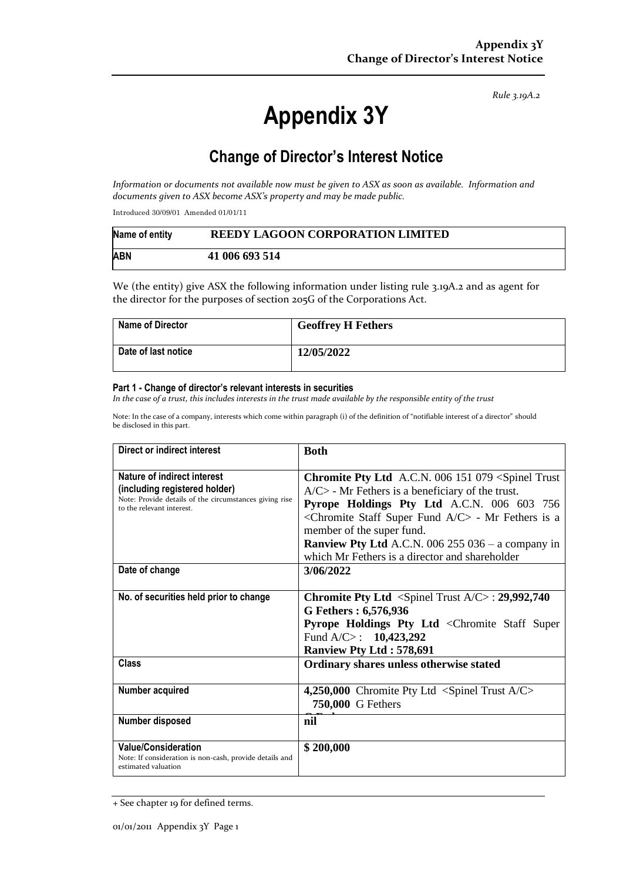*Rule 3.19A.2*

# **Appendix 3Y**

## **Change of Director's Interest Notice**

*Information or documents not available now must be given to ASX as soon as available. Information and documents given to ASX become ASX's property and may be made public.*

Introduced 30/09/01 Amended 01/01/11

| Name of entity | REEDY LAGOON CORPORATION LIMITED |
|----------------|----------------------------------|
| <b>ABN</b>     | 41 006 693 514                   |

We (the entity) give ASX the following information under listing rule 3.19A.2 and as agent for the director for the purposes of section 205G of the Corporations Act.

| <b>Name of Director</b> | <b>Geoffrey H Fethers</b> |
|-------------------------|---------------------------|
| Date of last notice     | 12/05/2022                |

#### **Part 1 - Change of director's relevant interests in securities**

*In the case of a trust, this includes interests in the trust made available by the responsible entity of the trust*

Note: In the case of a company, interests which come within paragraph (i) of the definition of "notifiable interest of a director" should be disclosed in this part.

| Direct or indirect interest                                                                                                                         | <b>Both</b>                                                                                                                                                                                                                                                                                                                                                                                                       |  |
|-----------------------------------------------------------------------------------------------------------------------------------------------------|-------------------------------------------------------------------------------------------------------------------------------------------------------------------------------------------------------------------------------------------------------------------------------------------------------------------------------------------------------------------------------------------------------------------|--|
| Nature of indirect interest<br>(including registered holder)<br>Note: Provide details of the circumstances giving rise<br>to the relevant interest. | <b>Chromite Pty Ltd</b> A.C.N. 006 151 079 <spinel trust<br=""><math>A/C</math> - Mr Fethers is a beneficiary of the trust.<br/>Pyrope Holdings Pty Ltd A.C.N. 006 603 756<br/><chromite a="" c="" fund="" staff="" super=""> - Mr Fethers is a<br/>member of the super fund.<br/><b>Ranview Pty Ltd</b> A.C.N. 006 255 036 - a company in<br/>which Mr Fethers is a director and shareholder</chromite></spinel> |  |
| Date of change                                                                                                                                      | 3/06/2022                                                                                                                                                                                                                                                                                                                                                                                                         |  |
| No. of securities held prior to change                                                                                                              | <b>Chromite Pty Ltd</b> <spinel <math="" trust="">A/C&gt;: 29,992,740<br/>G Fethers: 6,576,936<br/><b>Pyrope Holdings Pty Ltd <chromite b="" staff="" super<=""><br/>Fund A/C&gt;: <math>10,423,292</math><br/><b>Ranview Pty Ltd: 578,691</b></chromite></b></spinel>                                                                                                                                            |  |
| <b>Class</b>                                                                                                                                        | Ordinary shares unless otherwise stated                                                                                                                                                                                                                                                                                                                                                                           |  |
| Number acquired                                                                                                                                     | 4,250,000 Chromite Pty Ltd <spinel a="" c="" trust=""><br/>750,000 G Fethers</spinel>                                                                                                                                                                                                                                                                                                                             |  |
| Number disposed                                                                                                                                     | nil                                                                                                                                                                                                                                                                                                                                                                                                               |  |
| <b>Value/Consideration</b><br>Note: If consideration is non-cash, provide details and<br>estimated valuation                                        | \$200,000                                                                                                                                                                                                                                                                                                                                                                                                         |  |

<sup>+</sup> See chapter 19 for defined terms.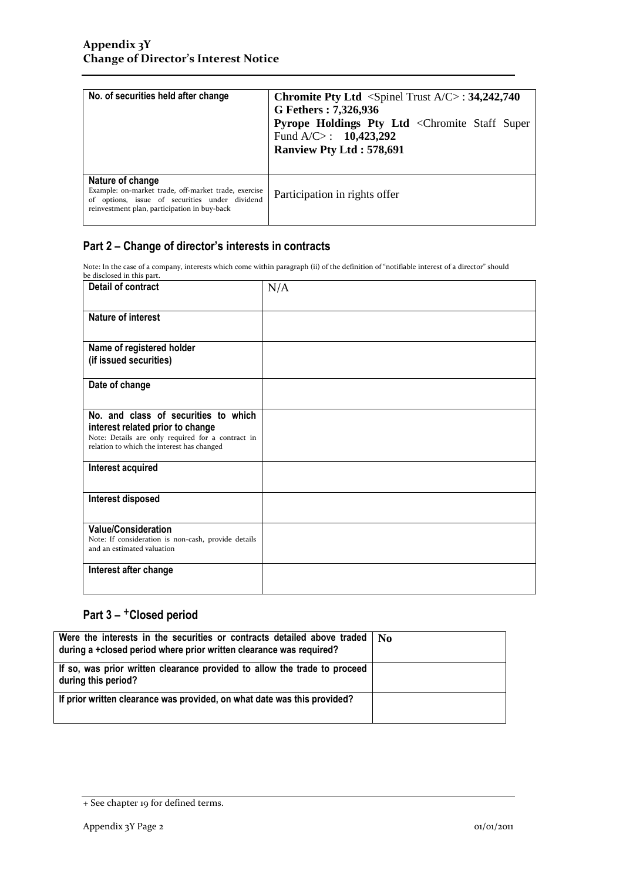| No. of securities held after change                                                                                                                                        | Chromite Pty Ltd <spinel a="" c="" trust="">: 34,242,740<br/>G Fethers: 7,326,936<br/>Pyrope Holdings Pty Ltd <chromite staff="" super<br="">Fund A/C&gt;: <math>10,423,292</math><br/><b>Ranview Pty Ltd: 578,691</b></chromite></spinel> |
|----------------------------------------------------------------------------------------------------------------------------------------------------------------------------|--------------------------------------------------------------------------------------------------------------------------------------------------------------------------------------------------------------------------------------------|
| Nature of change<br>Example: on-market trade, off-market trade, exercise<br>of options, issue of securities under dividend<br>reinvestment plan, participation in buy-back | Participation in rights offer                                                                                                                                                                                                              |

### **Part 2 – Change of director's interests in contracts**

Note: In the case of a company, interests which come within paragraph (ii) of the definition of "notifiable interest of a director" should

| be disclosed in this part.                                                                                                          |     |
|-------------------------------------------------------------------------------------------------------------------------------------|-----|
| Detail of contract                                                                                                                  | N/A |
| Nature of interest                                                                                                                  |     |
| Name of registered holder                                                                                                           |     |
| (if issued securities)                                                                                                              |     |
| Date of change                                                                                                                      |     |
| No. and class of securities to which                                                                                                |     |
| interest related prior to change<br>Note: Details are only required for a contract in<br>relation to which the interest has changed |     |
| Interest acquired                                                                                                                   |     |
| Interest disposed                                                                                                                   |     |
| <b>Value/Consideration</b>                                                                                                          |     |
| Note: If consideration is non-cash, provide details<br>and an estimated valuation                                                   |     |
| Interest after change                                                                                                               |     |
|                                                                                                                                     |     |

## **Part 3 –** +**Closed period**

| Were the interests in the securities or contracts detailed above traded<br>  during a +closed period where prior written clearance was required? | ∣ No |
|--------------------------------------------------------------------------------------------------------------------------------------------------|------|
| If so, was prior written clearance provided to allow the trade to proceed<br>during this period?                                                 |      |
| If prior written clearance was provided, on what date was this provided?                                                                         |      |

<sup>+</sup> See chapter 19 for defined terms.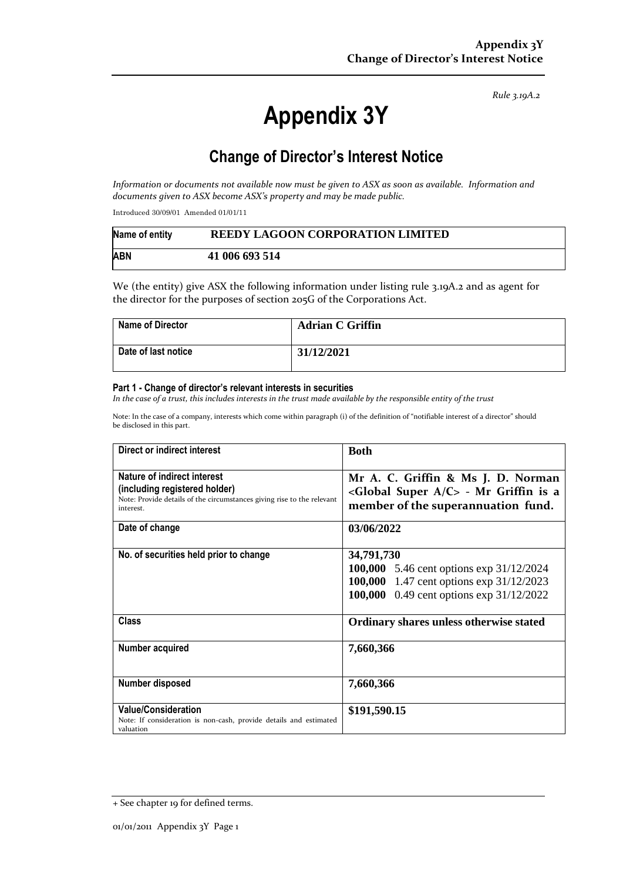*Rule 3.19A.2*

# **Appendix 3Y**

## **Change of Director's Interest Notice**

*Information or documents not available now must be given to ASX as soon as available. Information and documents given to ASX become ASX's property and may be made public.*

Introduced 30/09/01 Amended 01/01/11

| Name of entity | REEDY LAGOON CORPORATION LIMITED |
|----------------|----------------------------------|
| <b>ABN</b>     | 41 006 693 514                   |

We (the entity) give ASX the following information under listing rule 3.19A.2 and as agent for the director for the purposes of section 205G of the Corporations Act.

| Name of Director    | <b>Adrian C Griffin</b> |
|---------------------|-------------------------|
| Date of last notice | 31/12/2021              |

#### **Part 1 - Change of director's relevant interests in securities**

*In the case of a trust, this includes interests in the trust made available by the responsible entity of the trust*

Note: In the case of a company, interests which come within paragraph (i) of the definition of "notifiable interest of a director" should be disclosed in this part.

| Direct or indirect interest                                                                                                                         | <b>Both</b>                                                                                                                                           |  |
|-----------------------------------------------------------------------------------------------------------------------------------------------------|-------------------------------------------------------------------------------------------------------------------------------------------------------|--|
| Nature of indirect interest<br>(including registered holder)<br>Note: Provide details of the circumstances giving rise to the relevant<br>interest. | Mr A. C. Griffin & Ms J. D. Norman<br><global a="" c="" super=""> - Mr Griffin is a<br/>member of the superannuation fund.</global>                   |  |
| Date of change                                                                                                                                      | 03/06/2022                                                                                                                                            |  |
| No. of securities held prior to change                                                                                                              | 34,791,730<br><b>100,000</b> 5.46 cent options exp 31/12/2024<br>100,000 1.47 cent options exp 31/12/2023<br>100,000 0.49 cent options exp 31/12/2022 |  |
| <b>Class</b>                                                                                                                                        | Ordinary shares unless otherwise stated                                                                                                               |  |
| Number acquired                                                                                                                                     | 7,660,366                                                                                                                                             |  |
| Number disposed                                                                                                                                     | 7,660,366                                                                                                                                             |  |
| <b>Value/Consideration</b><br>Note: If consideration is non-cash, provide details and estimated<br>valuation                                        | \$191,590.15                                                                                                                                          |  |

<sup>+</sup> See chapter 19 for defined terms.